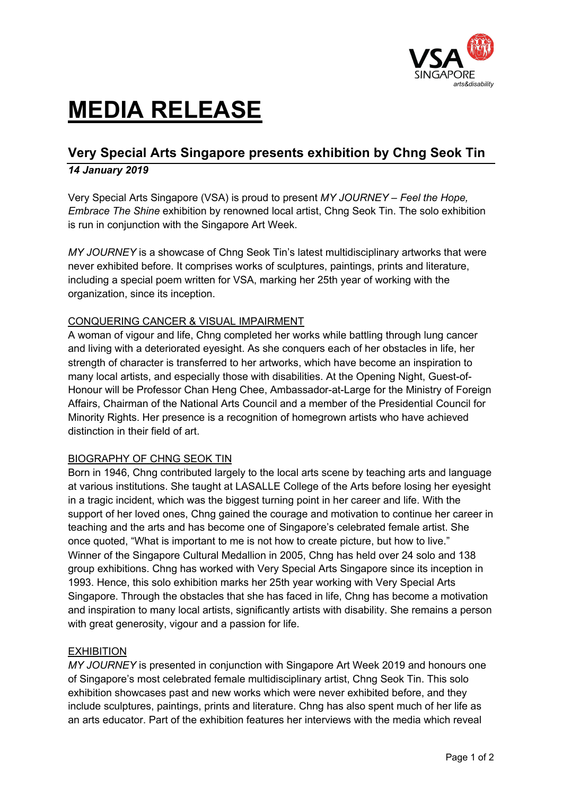

# **MEDIA RELEASE**

# **Very Special Arts Singapore presents exhibition by Chng Seok Tin** *14 January 2019*

Very Special Arts Singapore (VSA) is proud to present *MY JOURNEY – Feel the Hope, Embrace The Shine* exhibition by renowned local artist, Chng Seok Tin. The solo exhibition is run in conjunction with the Singapore Art Week.

*MY JOURNEY* is a showcase of Chng Seok Tin's latest multidisciplinary artworks that were never exhibited before. It comprises works of sculptures, paintings, prints and literature, including a special poem written for VSA, marking her 25th year of working with the organization, since its inception.

# CONQUERING CANCER & VISUAL IMPAIRMENT

A woman of vigour and life, Chng completed her works while battling through lung cancer and living with a deteriorated eyesight. As she conquers each of her obstacles in life, her strength of character is transferred to her artworks, which have become an inspiration to many local artists, and especially those with disabilities. At the Opening Night, Guest-of-Honour will be Professor Chan Heng Chee, Ambassador-at-Large for the Ministry of Foreign Affairs, Chairman of the National Arts Council and a member of the Presidential Council for Minority Rights. Her presence is a recognition of homegrown artists who have achieved distinction in their field of art.

# BIOGRAPHY OF CHNG SEOK TIN

Born in 1946, Chng contributed largely to the local arts scene by teaching arts and language at various institutions. She taught at LASALLE College of the Arts before losing her eyesight in a tragic incident, which was the biggest turning point in her career and life. With the support of her loved ones, Chng gained the courage and motivation to continue her career in teaching and the arts and has become one of Singapore's celebrated female artist. She once quoted, "What is important to me is not how to create picture, but how to live." Winner of the Singapore Cultural Medallion in 2005, Chng has held over 24 solo and 138 group exhibitions. Chng has worked with Very Special Arts Singapore since its inception in 1993. Hence, this solo exhibition marks her 25th year working with Very Special Arts Singapore. Through the obstacles that she has faced in life, Chng has become a motivation and inspiration to many local artists, significantly artists with disability. She remains a person with great generosity, vigour and a passion for life.

### **EXHIBITION**

*MY JOURNEY* is presented in conjunction with Singapore Art Week 2019 and honours one of Singapore's most celebrated female multidisciplinary artist, Chng Seok Tin. This solo exhibition showcases past and new works which were never exhibited before, and they include sculptures, paintings, prints and literature. Chng has also spent much of her life as an arts educator. Part of the exhibition features her interviews with the media which reveal